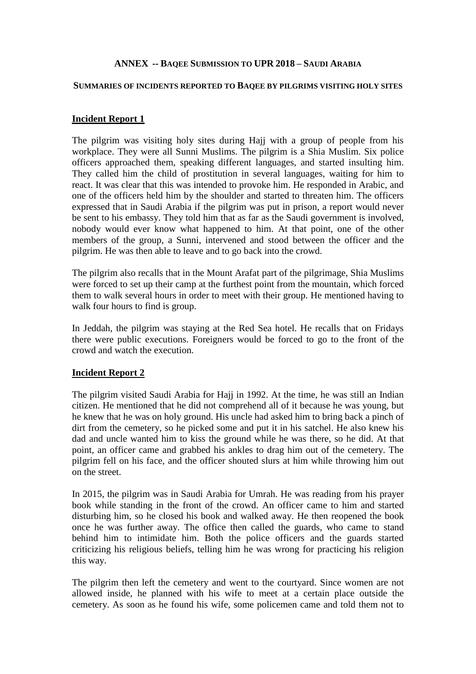#### **ANNEX -- BAQEE SUBMISSION TO UPR 2018 – SAUDI ARABIA**

#### **SUMMARIES OF INCIDENTS REPORTED TO BAQEE BY PILGRIMS VISITING HOLY SITES**

#### **Incident Report 1**

The pilgrim was visiting holy sites during Hajj with a group of people from his workplace. They were all Sunni Muslims. The pilgrim is a Shia Muslim. Six police officers approached them, speaking different languages, and started insulting him. They called him the child of prostitution in several languages, waiting for him to react. It was clear that this was intended to provoke him. He responded in Arabic, and one of the officers held him by the shoulder and started to threaten him. The officers expressed that in Saudi Arabia if the pilgrim was put in prison, a report would never be sent to his embassy. They told him that as far as the Saudi government is involved, nobody would ever know what happened to him. At that point, one of the other members of the group, a Sunni, intervened and stood between the officer and the pilgrim. He was then able to leave and to go back into the crowd.

The pilgrim also recalls that in the Mount Arafat part of the pilgrimage, Shia Muslims were forced to set up their camp at the furthest point from the mountain, which forced them to walk several hours in order to meet with their group. He mentioned having to walk four hours to find is group.

In Jeddah, the pilgrim was staying at the Red Sea hotel. He recalls that on Fridays there were public executions. Foreigners would be forced to go to the front of the crowd and watch the execution.

#### **Incident Report 2**

The pilgrim visited Saudi Arabia for Hajj in 1992. At the time, he was still an Indian citizen. He mentioned that he did not comprehend all of it because he was young, but he knew that he was on holy ground. His uncle had asked him to bring back a pinch of dirt from the cemetery, so he picked some and put it in his satchel. He also knew his dad and uncle wanted him to kiss the ground while he was there, so he did. At that point, an officer came and grabbed his ankles to drag him out of the cemetery. The pilgrim fell on his face, and the officer shouted slurs at him while throwing him out on the street.

In 2015, the pilgrim was in Saudi Arabia for Umrah. He was reading from his prayer book while standing in the front of the crowd. An officer came to him and started disturbing him, so he closed his book and walked away. He then reopened the book once he was further away. The office then called the guards, who came to stand behind him to intimidate him. Both the police officers and the guards started criticizing his religious beliefs, telling him he was wrong for practicing his religion this way.

The pilgrim then left the cemetery and went to the courtyard. Since women are not allowed inside, he planned with his wife to meet at a certain place outside the cemetery. As soon as he found his wife, some policemen came and told them not to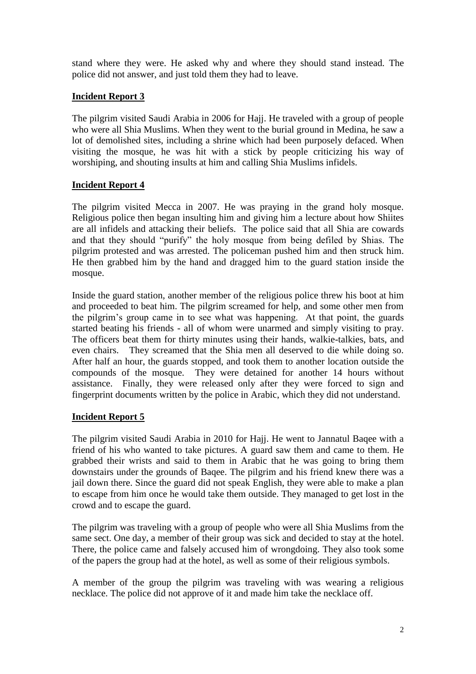stand where they were. He asked why and where they should stand instead. The police did not answer, and just told them they had to leave.

# **Incident Report 3**

The pilgrim visited Saudi Arabia in 2006 for Hajj. He traveled with a group of people who were all Shia Muslims. When they went to the burial ground in Medina, he saw a lot of demolished sites, including a shrine which had been purposely defaced. When visiting the mosque, he was hit with a stick by people criticizing his way of worshiping, and shouting insults at him and calling Shia Muslims infidels.

# **Incident Report 4**

The pilgrim visited Mecca in 2007. He was praying in the grand holy mosque. Religious police then began insulting him and giving him a lecture about how Shiites are all infidels and attacking their beliefs. The police said that all Shia are cowards and that they should "purify" the holy mosque from being defiled by Shias. The pilgrim protested and was arrested. The policeman pushed him and then struck him. He then grabbed him by the hand and dragged him to the guard station inside the mosque.

Inside the guard station, another member of the religious police threw his boot at him and proceeded to beat him. The pilgrim screamed for help, and some other men from the pilgrim's group came in to see what was happening. At that point, the guards started beating his friends - all of whom were unarmed and simply visiting to pray. The officers beat them for thirty minutes using their hands, walkie-talkies, bats, and even chairs. They screamed that the Shia men all deserved to die while doing so. After half an hour, the guards stopped, and took them to another location outside the compounds of the mosque. They were detained for another 14 hours without assistance. Finally, they were released only after they were forced to sign and fingerprint documents written by the police in Arabic, which they did not understand.

## **Incident Report 5**

The pilgrim visited Saudi Arabia in 2010 for Hajj. He went to Jannatul Baqee with a friend of his who wanted to take pictures. A guard saw them and came to them. He grabbed their wrists and said to them in Arabic that he was going to bring them downstairs under the grounds of Baqee. The pilgrim and his friend knew there was a jail down there. Since the guard did not speak English, they were able to make a plan to escape from him once he would take them outside. They managed to get lost in the crowd and to escape the guard.

The pilgrim was traveling with a group of people who were all Shia Muslims from the same sect. One day, a member of their group was sick and decided to stay at the hotel. There, the police came and falsely accused him of wrongdoing. They also took some of the papers the group had at the hotel, as well as some of their religious symbols.

A member of the group the pilgrim was traveling with was wearing a religious necklace. The police did not approve of it and made him take the necklace off.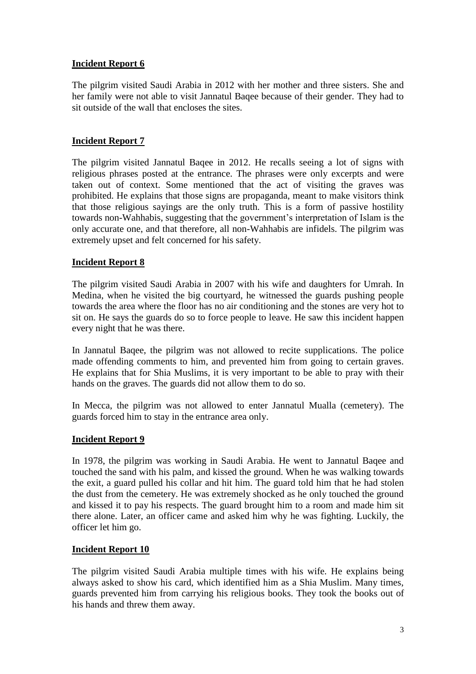## **Incident Report 6**

The pilgrim visited Saudi Arabia in 2012 with her mother and three sisters. She and her family were not able to visit Jannatul Baqee because of their gender. They had to sit outside of the wall that encloses the sites.

## **Incident Report 7**

The pilgrim visited Jannatul Baqee in 2012. He recalls seeing a lot of signs with religious phrases posted at the entrance. The phrases were only excerpts and were taken out of context. Some mentioned that the act of visiting the graves was prohibited. He explains that those signs are propaganda, meant to make visitors think that those religious sayings are the only truth. This is a form of passive hostility towards non-Wahhabis, suggesting that the government's interpretation of Islam is the only accurate one, and that therefore, all non-Wahhabis are infidels. The pilgrim was extremely upset and felt concerned for his safety.

## **Incident Report 8**

The pilgrim visited Saudi Arabia in 2007 with his wife and daughters for Umrah. In Medina, when he visited the big courtyard, he witnessed the guards pushing people towards the area where the floor has no air conditioning and the stones are very hot to sit on. He says the guards do so to force people to leave. He saw this incident happen every night that he was there.

In Jannatul Baqee, the pilgrim was not allowed to recite supplications. The police made offending comments to him, and prevented him from going to certain graves. He explains that for Shia Muslims, it is very important to be able to pray with their hands on the graves. The guards did not allow them to do so.

In Mecca, the pilgrim was not allowed to enter Jannatul Mualla (cemetery). The guards forced him to stay in the entrance area only.

## **Incident Report 9**

In 1978, the pilgrim was working in Saudi Arabia. He went to Jannatul Baqee and touched the sand with his palm, and kissed the ground. When he was walking towards the exit, a guard pulled his collar and hit him. The guard told him that he had stolen the dust from the cemetery. He was extremely shocked as he only touched the ground and kissed it to pay his respects. The guard brought him to a room and made him sit there alone. Later, an officer came and asked him why he was fighting. Luckily, the officer let him go.

## **Incident Report 10**

The pilgrim visited Saudi Arabia multiple times with his wife. He explains being always asked to show his card, which identified him as a Shia Muslim. Many times, guards prevented him from carrying his religious books. They took the books out of his hands and threw them away.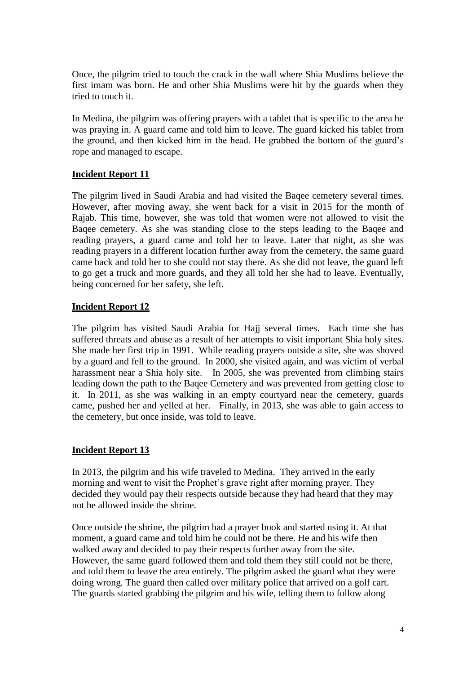Once, the pilgrim tried to touch the crack in the wall where Shia Muslims believe the first imam was born. He and other Shia Muslims were hit by the guards when they tried to touch it.

In Medina, the pilgrim was offering prayers with a tablet that is specific to the area he was praying in. A guard came and told him to leave. The guard kicked his tablet from the ground, and then kicked him in the head. He grabbed the bottom of the guard's rope and managed to escape.

## **Incident Report 11**

The pilgrim lived in Saudi Arabia and had visited the Baqee cemetery several times. However, after moving away, she went back for a visit in 2015 for the month of Rajab. This time, however, she was told that women were not allowed to visit the Baqee cemetery. As she was standing close to the steps leading to the Baqee and reading prayers, a guard came and told her to leave. Later that night, as she was reading prayers in a different location further away from the cemetery, the same guard came back and told her to she could not stay there. As she did not leave, the guard left to go get a truck and more guards, and they all told her she had to leave. Eventually, being concerned for her safety, she left.

# **Incident Report 12**

The pilgrim has visited Saudi Arabia for Hajj several times. Each time she has suffered threats and abuse as a result of her attempts to visit important Shia holy sites. She made her first trip in 1991. While reading prayers outside a site, she was shoved by a guard and fell to the ground. In 2000, she visited again, and was victim of verbal harassment near a Shia holy site. In 2005, she was prevented from climbing stairs leading down the path to the Baqee Cemetery and was prevented from getting close to it. In 2011, as she was walking in an empty courtyard near the cemetery, guards came, pushed her and yelled at her. Finally, in 2013, she was able to gain access to the cemetery, but once inside, was told to leave.

## **Incident Report 13**

In 2013, the pilgrim and his wife traveled to Medina. They arrived in the early morning and went to visit the Prophet's grave right after morning prayer. They decided they would pay their respects outside because they had heard that they may not be allowed inside the shrine.

Once outside the shrine, the pilgrim had a prayer book and started using it. At that moment, a guard came and told him he could not be there. He and his wife then walked away and decided to pay their respects further away from the site. However, the same guard followed them and told them they still could not be there, and told them to leave the area entirely. The pilgrim asked the guard what they were doing wrong. The guard then called over military police that arrived on a golf cart. The guards started grabbing the pilgrim and his wife, telling them to follow along